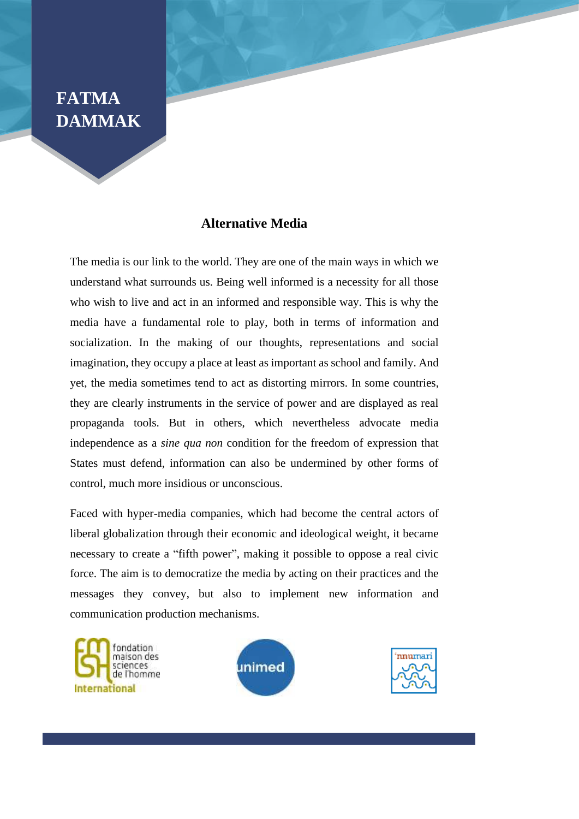## **FATMA DAMMAK**

## **Alternative Media**

The media is our link to the world. They are one of the main ways in which we understand what surrounds us. Being well informed is a necessity for all those who wish to live and act in an informed and responsible way. This is why the media have a fundamental role to play, both in terms of information and socialization. In the making of our thoughts, representations and social imagination, they occupy a place at least as important as school and family. And yet, the media sometimes tend to act as distorting mirrors. In some countries, they are clearly instruments in the service of power and are displayed as real propaganda tools. But in others, which nevertheless advocate media independence as a *sine qua non* condition for the freedom of expression that States must defend, information can also be undermined by other forms of control, much more insidious or unconscious.

Faced with hyper-media companies, which had become the central actors of liberal globalization through their economic and ideological weight, it became necessary to create a "fifth power", making it possible to oppose a real civic force. The aim is to democratize the media by acting on their practices and the messages they convey, but also to implement new information and communication production mechanisms.





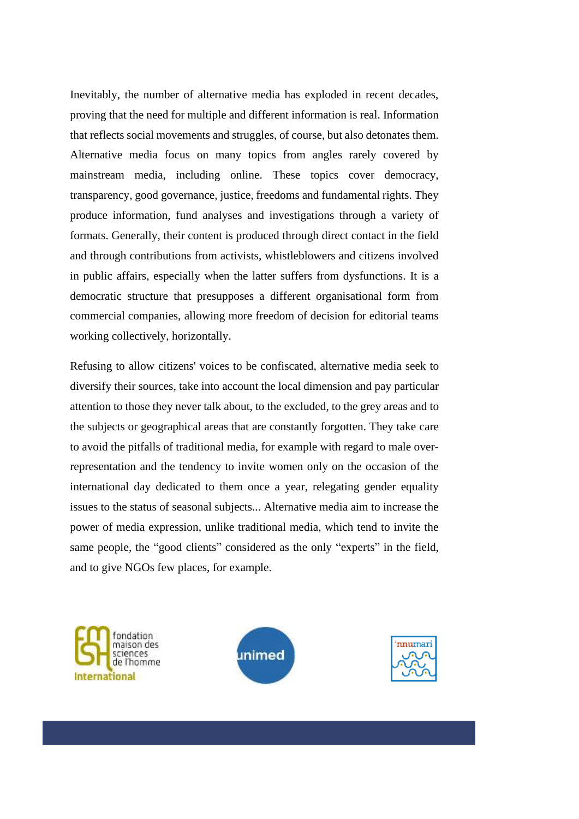Inevitably, the number of alternative media has exploded in recent decades, proving that the need for multiple and different information is real. Information that reflects social movements and struggles, of course, but also detonates them. Alternative media focus on many topics from angles rarely covered by mainstream media, including online. These topics cover democracy, transparency, good governance, justice, freedoms and fundamental rights. They produce information, fund analyses and investigations through a variety of formats. Generally, their content is produced through direct contact in the field and through contributions from activists, whistleblowers and citizens involved in public affairs, especially when the latter suffers from dysfunctions. It is a democratic structure that presupposes a different organisational form from commercial companies, allowing more freedom of decision for editorial teams working collectively, horizontally.

Refusing to allow citizens' voices to be confiscated, alternative media seek to diversify their sources, take into account the local dimension and pay particular attention to those they never talk about, to the excluded, to the grey areas and to the subjects or geographical areas that are constantly forgotten. They take care to avoid the pitfalls of traditional media, for example with regard to male overrepresentation and the tendency to invite women only on the occasion of the international day dedicated to them once a year, relegating gender equality issues to the status of seasonal subjects... Alternative media aim to increase the power of media expression, unlike traditional media, which tend to invite the same people, the "good clients" considered as the only "experts" in the field, and to give NGOs few places, for example.





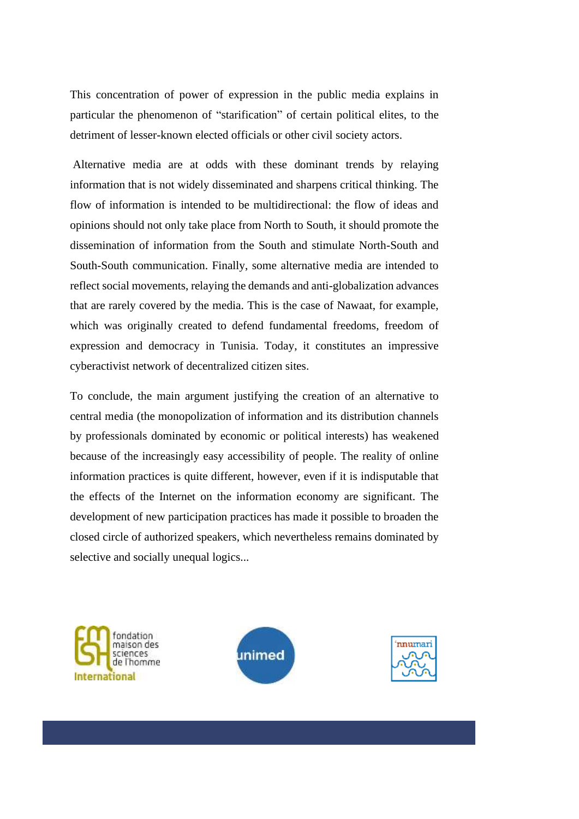This concentration of power of expression in the public media explains in particular the phenomenon of "starification" of certain political elites, to the detriment of lesser-known elected officials or other civil society actors.

Alternative media are at odds with these dominant trends by relaying information that is not widely disseminated and sharpens critical thinking. The flow of information is intended to be multidirectional: the flow of ideas and opinions should not only take place from North to South, it should promote the dissemination of information from the South and stimulate North-South and South-South communication. Finally, some alternative media are intended to reflect social movements, relaying the demands and anti-globalization advances that are rarely covered by the media. This is the case of Nawaat, for example, which was originally created to defend fundamental freedoms, freedom of expression and democracy in Tunisia. Today, it constitutes an impressive cyberactivist network of decentralized citizen sites.

To conclude, the main argument justifying the creation of an alternative to central media (the monopolization of information and its distribution channels by professionals dominated by economic or political interests) has weakened because of the increasingly easy accessibility of people. The reality of online information practices is quite different, however, even if it is indisputable that the effects of the Internet on the information economy are significant. The development of new participation practices has made it possible to broaden the closed circle of authorized speakers, which nevertheless remains dominated by selective and socially unequal logics...